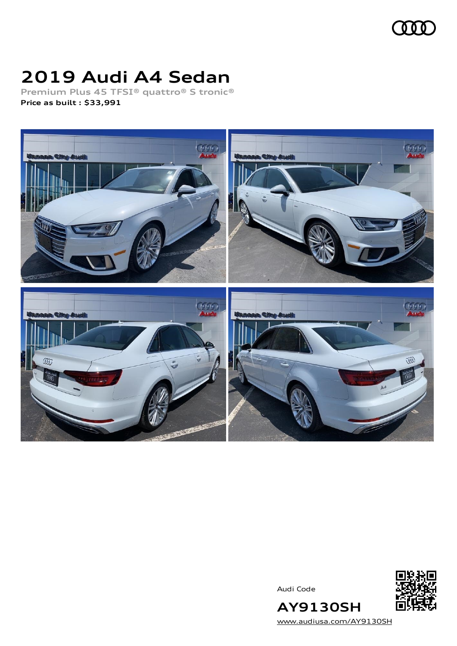

# **2019 Audi A4 Sedan**

**Premium Plus 45 TFSI® quattro® S tronic® Price as built [:](#page-8-0) \$33,991**



Audi Code



[www.audiusa.com/AY9130SH](https://www.audiusa.com/AY9130SH)

**AY9130SH**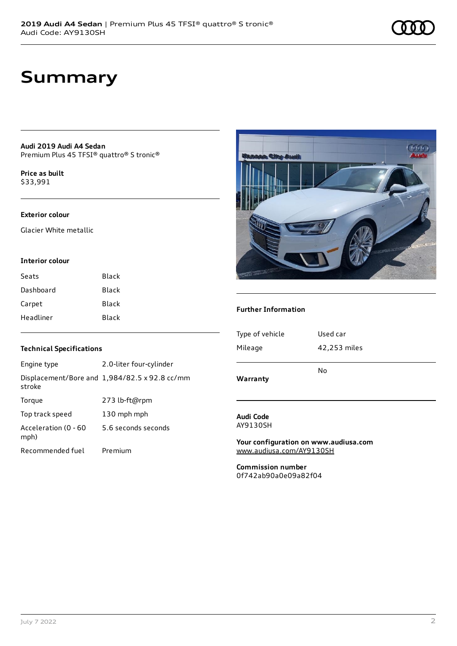# **Summary**

**Audi 2019 Audi A4 Sedan** Premium Plus 45 TFSI® quattro® S tronic®

**Price as buil[t](#page-8-0)** \$33,991

### **Exterior colour**

Glacier White metallic

#### **Interior colour**

| Seats     | Black |
|-----------|-------|
| Dashboard | Black |
| Carpet    | Black |
| Headliner | Black |

#### **Technical Specifications**

| Engine type                  | 2.0-liter four-cylinder                       |
|------------------------------|-----------------------------------------------|
| stroke                       | Displacement/Bore and 1,984/82.5 x 92.8 cc/mm |
| Torque                       | 273 lb-ft@rpm                                 |
| Top track speed              | 130 mph mph                                   |
| Acceleration (0 - 60<br>mph) | 5.6 seconds seconds                           |
| Recommended fuel             | Premium                                       |



#### **Further Information**

| Warranty        |              |
|-----------------|--------------|
|                 | No           |
| Mileage         | 42,253 miles |
| Type of vehicle | Used car     |
|                 |              |

#### **Audi Code** AY9130SH

**Your configuration on www.audiusa.com** [www.audiusa.com/AY9130SH](https://www.audiusa.com/AY9130SH)

**Commission number** 0f742ab90a0e09a82f04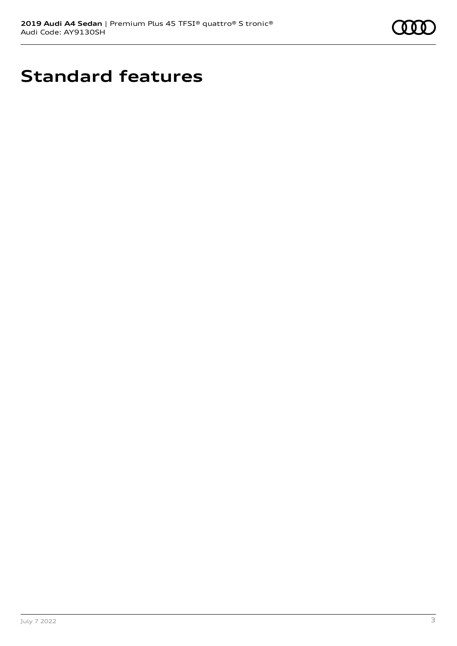

# **Standard features**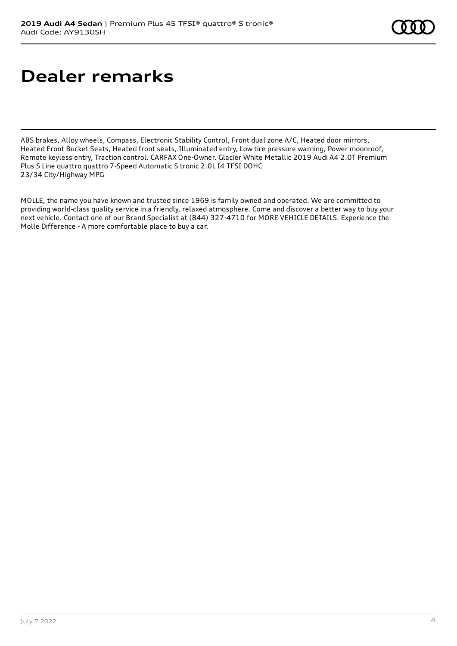# **Dealer remarks**

ABS brakes, Alloy wheels, Compass, Electronic Stability Control, Front dual zone A/C, Heated door mirrors, Heated Front Bucket Seats, Heated front seats, Illuminated entry, Low tire pressure warning, Power moonroof, Remote keyless entry, Traction control. CARFAX One-Owner. Glacier White Metallic 2019 Audi A4 2.0T Premium Plus S Line quattro quattro 7-Speed Automatic S tronic 2.0L I4 TFSI DOHC 23/34 City/Highway MPG

MOLLE, the name you have known and trusted since 1969 is family owned and operated. We are committed to providing world-class quality service in a friendly, relaxed atmosphere. Come and discover a better way to buy your next vehicle. Contact one of our Brand Specialist at (844) 327-4710 for MORE VEHICLE DETAILS. Experience the Molle Difference - A more comfortable place to buy a car.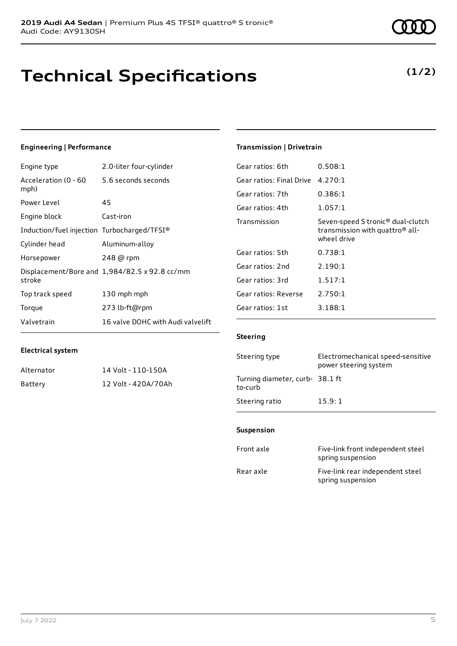# **Technical Specifications**

July 7 2022 5

## **Engineering | Performance**

**Electrical system**

Engine type 2.0-liter four-cylinder

Alternator 14 Volt - 110-150A Battery 12 Volt - 420A/70Ah

| Acceleration (0 - 60<br>mph)                | 5.6 seconds seconds                           |
|---------------------------------------------|-----------------------------------------------|
| Power Level                                 | 45                                            |
| Engine block                                | Cast-iron                                     |
| Induction/fuel injection Turbocharged/TFSI® |                                               |
| Cylinder head                               | Aluminum-alloy                                |
| Horsepower                                  | 248 @ rpm                                     |
| stroke                                      | Displacement/Bore and 1,984/82.5 x 92.8 cc/mm |
| Top track speed                             | 130 mph mph                                   |
| Torque                                      | 273 lb-ft@rpm                                 |
| Valvetrain                                  | 16 valve DOHC with Audi valvelift             |

#### **Transmission | Drivetrain**

| Gear ratios: 6th         | 0.508:1                                                                                                     |
|--------------------------|-------------------------------------------------------------------------------------------------------------|
| Gear ratios: Final Drive | 4.270:1                                                                                                     |
| Gear ratios: 7th         | 0.386:1                                                                                                     |
| Gear ratios: 4th         | 1.057:1                                                                                                     |
| Transmission             | Seven-speed S tronic <sup>®</sup> dual-clutch<br>transmission with quattro <sup>®</sup> all-<br>wheel drive |
| Gear ratios: 5th         | 0.738:1                                                                                                     |
| Gear ratios: 2nd         | 2.190:1                                                                                                     |
| Gear ratios: 3rd         | 1.517:1                                                                                                     |
| Gear ratios: Reverse     | 2.750:1                                                                                                     |
| Gear ratios: 1st         | 3.188:1                                                                                                     |

#### **Steering**

| Steering type                             | Electromechanical speed-sensitive<br>power steering system |
|-------------------------------------------|------------------------------------------------------------|
| Turning diameter, curb-38.1 ft<br>to-curb |                                                            |
| Steering ratio                            | 15.9:1                                                     |

#### **Suspension**

| Front axle | Five-link front independent steel<br>spring suspension |
|------------|--------------------------------------------------------|
| Rear axle  | Five-link rear independent steel<br>spring suspension  |

## **(1/2)**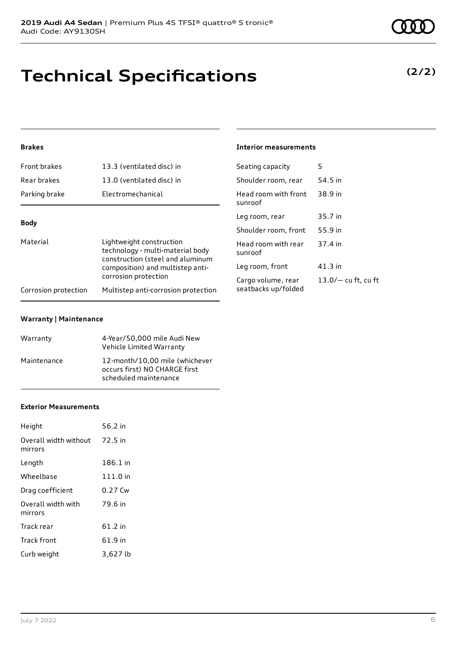# **Technical Specifications**

### **Brakes**

| Front brakes                                             | 13.3 (ventilated disc) in                                                                        | Seating capacity                | 5                     |
|----------------------------------------------------------|--------------------------------------------------------------------------------------------------|---------------------------------|-----------------------|
| Rear brakes                                              | 13.0 (ventilated disc) in                                                                        | Shoulder room, rear             | 54.5 in               |
| Parking brake                                            | Electromechanical                                                                                | Head room with front<br>sunroof | 38.9 in               |
| <b>Body</b>                                              |                                                                                                  | Leg room, rear                  | 35.7 in               |
|                                                          |                                                                                                  | Shoulder room, front            | 55.9 in               |
| Material                                                 | Lightweight construction<br>technology - multi-material body<br>construction (steel and aluminum | Head room with rear<br>sunroof  | 37.4 in               |
| composition) and multistep anti-<br>corrosion protection | Leg room, front                                                                                  | $41.3$ in                       |                       |
|                                                          |                                                                                                  | Cargo volume, rear              | $13.0/-$ cu ft, cu ft |
| Corrosion protection                                     | Multistep anti-corrosion protection                                                              | seatbacks up/folded             |                       |

**Interior measurements**

### **Warranty | Maintenance**

| Warranty    | 4-Year/50,000 mile Audi New<br>Vehicle Limited Warranty                                  |
|-------------|------------------------------------------------------------------------------------------|
| Maintenance | 12-month/10.00 mile (whichever<br>occurs first) NO CHARGE first<br>scheduled maintenance |

#### **Exterior Measurements**

| Height                           | 56.2 in   |
|----------------------------------|-----------|
| Overall width without<br>mirrors | 72.5 in   |
| Length                           | 186.1 in  |
| Wheelbase                        | 111.0 in  |
| Drag coefficient                 | $0.27$ Cw |
| Overall width with<br>mirrors    | 79.6 in   |
| Track rear                       | $61.2$ in |
| Track front                      | 61.9 in   |
| Curb weight                      | 3,627 lb  |

### **(2/2)**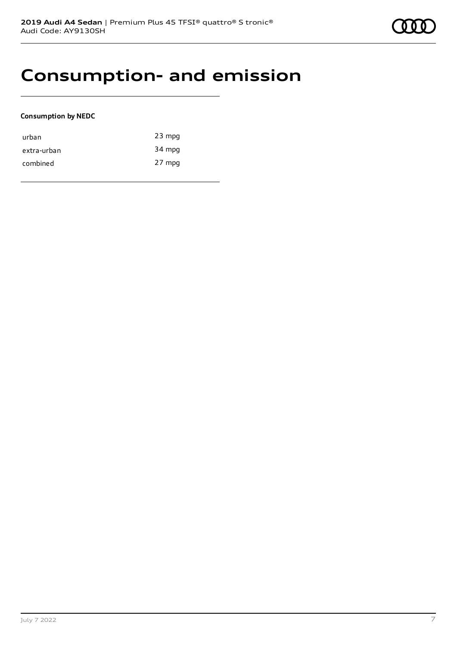# **Consumption- and emission**

#### **Consumption by NEDC**

| urban       | $23$ mpg |
|-------------|----------|
| extra-urban | 34 mpg   |
| combined    | 27 mpg   |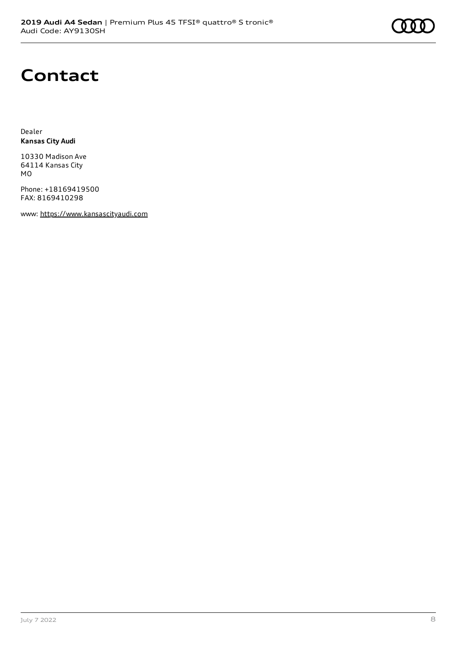# **Contact**

Dealer **Kansas City Audi**

10330 Madison Ave 64114 Kansas City MO

Phone: +18169419500 FAX: 8169410298

www: [https://www.kansascityaudi.com](https://www.kansascityaudi.com/)